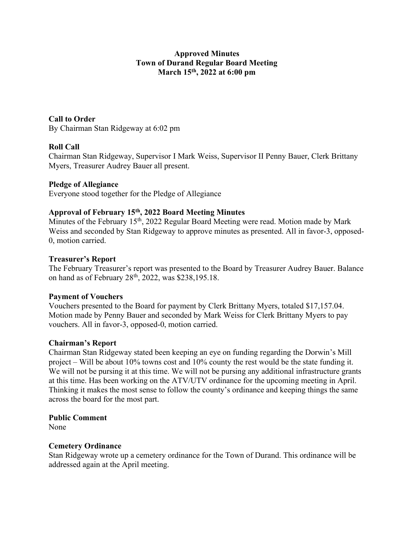# Approved Minutes Town of Durand Regular Board Meeting March 15<sup>th</sup>, 2022 at 6:00 pm

# Call to Order

By Chairman Stan Ridgeway at 6:02 pm

## Roll Call

Chairman Stan Ridgeway, Supervisor I Mark Weiss, Supervisor II Penny Bauer, Clerk Brittany Myers, Treasurer Audrey Bauer all present.

## Pledge of Allegiance

Everyone stood together for the Pledge of Allegiance

## Approval of February 15th, 2022 Board Meeting Minutes

Minutes of the February 15<sup>th</sup>, 2022 Regular Board Meeting were read. Motion made by Mark Weiss and seconded by Stan Ridgeway to approve minutes as presented. All in favor-3, opposed-0, motion carried.

### Treasurer's Report

The February Treasurer's report was presented to the Board by Treasurer Audrey Bauer. Balance on hand as of February 28<sup>th</sup>, 2022, was \$238,195.18.

### Payment of Vouchers

Vouchers presented to the Board for payment by Clerk Brittany Myers, totaled \$17,157.04. Motion made by Penny Bauer and seconded by Mark Weiss for Clerk Brittany Myers to pay vouchers. All in favor-3, opposed-0, motion carried.

### Chairman's Report

Chairman Stan Ridgeway stated been keeping an eye on funding regarding the Dorwin's Mill project – Will be about 10% towns cost and 10% county the rest would be the state funding it. We will not be pursing it at this time. We will not be pursing any additional infrastructure grants at this time. Has been working on the ATV/UTV ordinance for the upcoming meeting in April. Thinking it makes the most sense to follow the county's ordinance and keeping things the same across the board for the most part.

### Public Comment

None

### Cemetery Ordinance

Stan Ridgeway wrote up a cemetery ordinance for the Town of Durand. This ordinance will be addressed again at the April meeting.